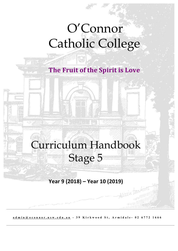# O'Connor Catholic College

**The Fruit of the Spirit is Love** 

iliana mana

Curriculum Handbook Stage 5

## **Year 9 (2018) – Year 10 (2019)**

**admin@oconnor.nsw.edu.au - 39 Kirkwood St, Armidale - 02 6772 1666**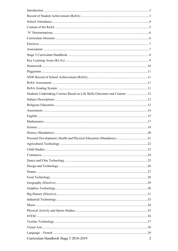| Students Undertaking Courses Based on Life Skills Outcomes and Content 12 |                |
|---------------------------------------------------------------------------|----------------|
|                                                                           |                |
|                                                                           |                |
|                                                                           |                |
|                                                                           |                |
|                                                                           |                |
|                                                                           |                |
|                                                                           |                |
| Personal Development, Health and Physical Education (Mandatory) 21        |                |
|                                                                           |                |
|                                                                           |                |
|                                                                           |                |
|                                                                           |                |
|                                                                           |                |
|                                                                           |                |
|                                                                           |                |
|                                                                           |                |
|                                                                           |                |
|                                                                           |                |
|                                                                           |                |
|                                                                           |                |
|                                                                           |                |
|                                                                           |                |
|                                                                           |                |
|                                                                           |                |
|                                                                           |                |
| Curriculum Handbook Stage 5 2018-2019                                     | $\overline{2}$ |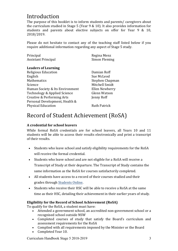## Introduction

The purpose of this booklet is to inform students and parents/ caregivers about the curriculum studied in Stage 5 (Year  $9 \& 10$ ). It also provides information for students and parents about elective subjects on offer for Year 9 & 10, 2018/2019.

Please do not hesitate to contact any of the teaching staff listed below if you require additional information regarding any aspect of Stage 5 study.

| Principal                       | Regina Menz         |  |
|---------------------------------|---------------------|--|
| <b>Assistant Principal</b>      | Simon Fleming       |  |
| <b>Leaders of Learning</b>      |                     |  |
| Religious Education             | Damian Roff         |  |
| English                         | Sue McLeod          |  |
| <b>Mathematics</b>              | Stephen Chapman     |  |
| Science                         | Mitchell Smidt      |  |
| Human Society & Its Environment | Ellen Newberry      |  |
| Technology & Applied Science    | Glenn Watson        |  |
| Creative & Performing Arts      | Jenny Roff          |  |
| Personal Development, Health &  |                     |  |
| <b>Physical Education</b>       | <b>Ruth Patrick</b> |  |

### Record of Student Achievement (RoSA)

#### **A credential for school leavers**

While formal RoSA credentials are for school leavers, all Years 10 and 11 students will be able to access their results electronically and print a transcript of their results.

- Students who leave school and satisfy eligibility requirements for the RoSA will receive the formal credential.
- Students who leave school and are not eligible for a RoSA will receive a Transcript of Study at their departure. The Transcript of Study contains the same information as the RoSA for courses satisfactorily completed.
- All students have access to a record of their courses studied and their grades through Students Online.
- Students who receive their HSC will be able to receive a RoSA at the same time as their HSC, detailing their achievement in their earlier years of study.

#### **Eligibility for the Record of School Achievement (RoSA)**

To qualify for the RoSA, a student must have:

- Attended a government school, an accredited non-government school or a recognised school outside NSW
- Completed courses of study that satisfy the Board's curriculum and assessment requirements for the RoSA
- Complied with all requirements imposed by the Minister or the Board
- Completed Year 10.

Curriculum Handbook Stage 5 2018-2019 3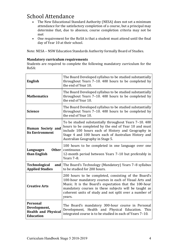# School Attendance

- The New Educational Standard Authority (NESA) does not set a minimum attendance for the satisfactory completion of a course, but a principal may determine that, due to absence, course completion criteria may not be met
- One requirement for the RoSA is that a student must attend until the final day of Year 10 at their school.

Note: NESA - NSW Education Standards Authority formally Board of Studies.

#### **Mandatory curriculum requirements**

Students are required to complete the following mandatory curriculum for the RoSA:

| English                                                                           | The Board Developed syllabus to be studied substantially<br>throughout Years 7-10. 400 hours to be completed by<br>the end of Year 10.                                                                                                                                                               |
|-----------------------------------------------------------------------------------|------------------------------------------------------------------------------------------------------------------------------------------------------------------------------------------------------------------------------------------------------------------------------------------------------|
| <b>Mathematics</b>                                                                | The Board Developed syllabus to be studied substantially<br>throughout Years 7-10. 400 hours to be completed by<br>the end of Year 10.                                                                                                                                                               |
| <b>Science</b>                                                                    | The Board Developed syllabus to be studied substantially<br>throughout Years 7-10. 400 hours to be completed by<br>the end of Year 10.                                                                                                                                                               |
| Human Society and<br><b>Its Environment</b>                                       | To be studied substantially throughout Years 7-10. 400<br>hours to be completed by the end of Year 10 and must<br>include 100 hours each of History and Geography in<br>Stage 4 and 100 hours each of Australian History and<br>Australian Geography in Stage 5.                                     |
| Other<br><b>Languages</b><br>than English                                         | 100 hours to be completed in one language over one<br>continuous<br>12-month period between Years 7-10 but preferably in<br>Years 7-8.                                                                                                                                                               |
| <b>Technological</b><br>and<br><b>Applied Studies</b>                             | The Board's Technology (Mandatory) Years 7-8 syllabus<br>to be studied for 200 hours.                                                                                                                                                                                                                |
| <b>Creative Arts</b>                                                              | 200 hours to be completed, consisting of the Board's<br>100-hour mandatory courses in each of Visual Arts and<br>Music. It is the Board's expectation that the 100-hour<br>mandatory courses in these subjects will be taught as<br>coherent units of study and not split over a number of<br>years. |
| <b>Personal</b><br>Development,<br><b>Health and Physical</b><br><b>Education</b> | The Board's mandatory 300-hour course in Personal<br>Development, Health and Physical Education. This<br>integrated course is to be studied in each of Years 7-10.                                                                                                                                   |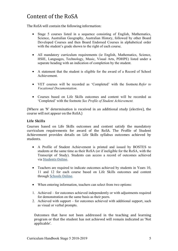# Content of the RoSA

The RoSA will contain the following information:

- Stage 5 courses listed in a sequence consisting of English, Mathematics, Science, Australian Geography, Australian History, followed by other Board Developed Courses and then Board Endorsed Courses in alphabetical order with the student's grade shown to the right of each course.
- All mandatory curriculum requirements (ie English, Mathematics, Science, HSIE, Languages, Technology, Music, Visual Arts, PDHPE) listed under a separate heading with an indication of completion by the student.
- A statement that the student is eligible for the award of a Record of School Achievement.
- VET courses will be recorded as 'Completed' with the footnote *Refer to Vocational Documentation*.
- Courses based on Life Skills outcomes and content will be recorded as 'Completed' with the footnote *See Profile of Student Achievement.*

(Where an 'N' determination is received in an additional study (elective), the course will not appear on the RoSA.)

#### **Life Skills**

Courses based on Life Skills outcomes and content satisfy the mandatory curriculum requirements for award of the RoSA. The Profile of Student Achievement provides details on Life Skills syllabus outcomes achieved by students.

- A Profile of Student Achievement is printed and issued by BOSTES to students at the same time as their RoSA (or if ineligible for the RoSA, with the Transcript of Study). Students can access a record of outcomes achieved via Students Online.
- Teachers are required to indicate outcomes achieved by students in Years 10, 11 and 12 for each course based on Life Skills outcomes and content through Schools Online.
- When entering information, teachers can select from two options:
- 1. Achieved for outcomes achieved independently or with adjustments required for demonstration on the same basis as their peers.
- 2. Achieved with support for outcomes achieved with additional support, such as visual or verbal prompts.

Outcomes that have not been addressed in the teaching and learning program or that the student has not achieved will remain indicated as 'Not applicable'.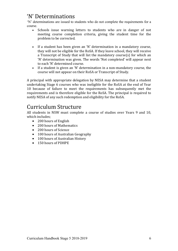### 'N' Determinations

'N' determinations are issued to students who do not complete the requirements for a course.

- Schools issue warning letters to students who are in danger of not meeting course completion criteria, giving the student time for the problem to be corrected.
- If a student has been given an 'N' determination in a mandatory course, they will not be eligible for the RoSA. If they leave school, they will receive a Transcript of Study that will list the mandatory course(s) for which an 'N' determination was given. The words 'Not completed' will appear next to each 'N' determined course.
- If a student is given an 'N' determination in a non-mandatory course, the course will not appear on their RoSA or Transcript of Study.

A principal with appropriate delegation by NESA may determine that a student undertaking Stage 6 courses who was ineligible for the RoSA at the end of Year 10 because of failure to meet the requirements has subsequently met the requirements and is therefore eligible for the RoSA. The principal is required to notify NESA of any such redemption and eligibility for the RoSA.

### Curriculum Structure

All students in NSW must complete a course of studies over Years 9 and 10, which includes;

- 200 hours of English
- 200 hours of Mathematics
- 200 hours of Science
- 100 hours of Australian Geography
- 100 hours of Australian History
- 150 hours of PDHPE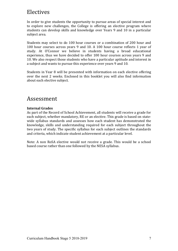### Electives

In order to give students the opportunity to pursue areas of special interest and to explore new challenges, the College is offering an elective program where students can develop skills and knowledge over Years 9 and 10 in a particular subject area.

Students may select to do 100 hour courses or a combination of 200 hour and 100 hour courses across years 9 and 10. A 100 hour course reflects 1 year of study. At O'Connor we believe in students having a broad educational experience, thus we have decided to offer 100 hour courses across years 9 and 10. We also respect those students who have a particular aptitude and interest in a subject and wants to pursue this experience over vears 9 and 10.

Students in Year 8 will be presented with information on each elective offering over the next 2 weeks. Enclosed in this booklet you will also find information about each elective subject.

### Assessment

#### **Internal Grades**

As part of the Record of School Achievement, all students will receive a grade for each subject, whether mandatory, RE or an elective. This grade is based on statewide syllabus standards and assesses how each student has demonstrated the knowledge, skills and understanding required for each subject throughout the two years of study. The specific syllabus for each subject outlines the standards and criteria, which indicate student achievement at a particular level.

Note: A non RoSA elective would not receive a grade. This would be a school based course rather than one followed by the NESA syllabus.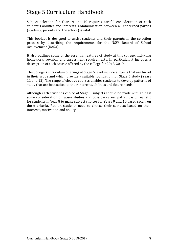# Stage 5 Curriculum Handbook

Subject selection for Years 9 and 10 requires careful consideration of each student's abilities and interests. Communication between all concerned parties (students, parents and the school) is vital.

This booklet is designed to assist students and their parents in the selection process by describing the requirements for the NSW Record of School Achievement (RoSA).

It also outlines some of the essential features of study at this college, including homework, revision and assessment requirements. In particular, it includes a description of each course offered by the college for 2018-2019.

The College's curriculum offerings at Stage 5 level include subjects that are broad in their scope and which provide a suitable foundation for Stage 6 study (Years 11 and 12). The range of elective courses enables students to develop patterns of study that are best suited to their interests, abilities and future needs.

Although each student's choice of Stage 5 subjects should be made with at least some consideration of future studies and possible career paths, it is unrealistic for students in Year 8 to make subject choices for Years 9 and 10 based solely on these criteria. Rather, students need to choose their subjects based on their interests, motivation and ability.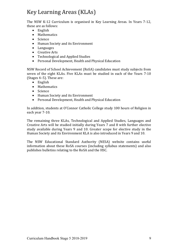# Key Learning Areas (KLAs)

The NSW K-12 Curriculum is organised in Key Learning Areas. In Years 7-12, these are as follows:

- English
- Mathematics
- Science
- Human Society and its Environment
- Languages
- Creative Arts
- Technological and Applied Studies
- Personal Development, Health and Physical Education

NSW Record of School Achievement (RoSA) candidates must study subjects from seven of the eight KLAs. Five KLAs must be studied in each of the Years 7-10 (Stages  $4-5$ ). These are:

- English
- Mathematics
- Science
- Human Society and its Environment
- Personal Development, Health and Physical Education

In addition, students at O'Connor Catholic College study 100 hours of Religion in each year 7-10.

The remaining three KLAs, Technological and Applied Studies, Languages and Creative Arts will be studied initially during Years 7 and 8 with further elective study available during Years 9 and 10. Greater scope for elective study in the Human Society and its Environment KLA is also introduced in Years 9 and 10.

The NSW Educational Standard Authority (NESA) website contains useful information about these RoSA courses (including syllabus statements) and also publishes bulletins relating to the RoSA and the HSC.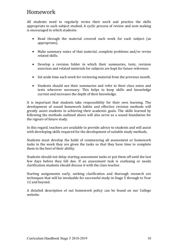### Homework

All students need to regularly revise their work and practise the skills appropriate to each subject studied. A cyclic process of review and note making is encouraged in which students:

- Read through the material covered each week for each subject (as appropriate).
- Make summary notes of that material, complete problems and/or revise related skills.
- Develop a revision folder in which their summaries, tests, revision exercises and related materials for subjects are kept for future reference.
- Set aside time each week for reviewing material from the previous month.
- Students should use their summaries and refer to their class notes and texts wherever necessary. This helps to keep skills and knowledge current and increases the depth of their knowledge.

It is important that students take responsibility for their own learning. The development of sound homework habits and effective revision methods will greatly assist students in achieving their academic goals. The skills learned by following the methods outlined above will also serve as a sound foundation for the rigours of future study.

In this regard, teachers are available to provide advice to students and will assist with developing skills required for the development of suitable study methods.

Students must develop the habit of commencing all assessment or homework tasks in the week they are given the tasks so that they have time to complete them to the best of their ability.

Students should not delay starting assessment tasks or put them off until the last few days before they fall due. If an assessment task is confusing or needs clarification students should discuss it with the class teacher.

Starting assignments early, seeking clarification and thorough research are techniques that will be invaluable for successful study in Stage 5 through to Year 12 and beyond.

A detailed description of out homework policy can be found on our College website.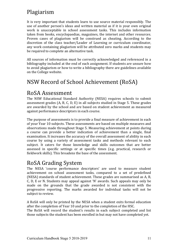# Plagiarism

It is very important that students learn to use source material responsibly. The use of another person's ideas and written material as if it is your own original work is unacceptable in school assessment tasks. This includes information taken from books, encyclopaedias, magazines, the internet and other resources. Proven cases of plagiarism will be construed as cheating. According to the discretion of the class teacher/Leader of Learning or curriculum coordinator, any work containing plagiarism will be attributed zero marks and students may be required to complete an alternative task.

All sources of information must be correctly acknowledged and referenced in a bibliography included at the end of each assignment. If students are unsure how to avoid plagiarism or how to write a bibliography there are guidelines available on the College website.

# NSW Record of School Achievement (RoSA)

### RoSA Assessment

The NSW Educational Standard Authority (NESA) requires schools to submit assessment grades (A, B, C, D, E) in all subjects studied in Stage 5. These grades are awarded by the school and are based on student achievement as measured against performance descriptors in each course.

The purpose of assessments is to provide a final measure of achievement in each of your Year 10 subjects. These assessments are based on multiple measures and observations made throughout Stage 5. Measuring achievement at points during a course can provide a better indication of achievement than a single, final examination. It increases the accuracy of the overall assessment of ability in each course by using a variety of assessment tasks and methods relevant to each subject. It caters for those knowledge and skills outcomes that are better assessed in specific settings or at specific times (e.g. practical, research or fieldwork skills). This broadens the base of the assessment.

### RoSA Grading System

The NESA 'course performance descriptors' are used to measure student achievement on school assessment tasks, compared to a set of predefined (NESA) standards of student achievement. These grades are summarised as A, B, C, D, E or N. Students may appeal against 'N' awards. Such appeals may only be made on the grounds that the grade awarded is not consistent with the progressive reporting. The marks awarded for individual tasks will not be subject to review.

A RoSA will only be printed by the NESA when a student exits formal education after the completion of Year 10 and prior to the completion of the HSC.

The RoSA will record the student's results in each subject completed and list those subjects the student has been enrolled in but may not have completed yet.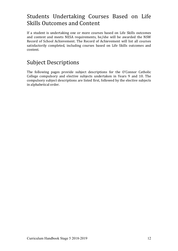## Students Undertaking Courses Based on Life Skills Outcomes and Content

If a student is undertaking one or more courses based on Life Skills outcomes and content and meets NESA requirements, he/she will be awarded the NSW Record of School Achievement. The Record of Achievement will list all courses satisfactorily completed, including courses based on Life Skills outcomes and content.

### Subject Descriptions

The following pages provide subject descriptions for the  $O'$ Connor Catholic College compulsory and elective subjects undertaken in Years 9 and 10. The compulsory subject descriptions are listed first, followed by the elective subjects in alphabetical order.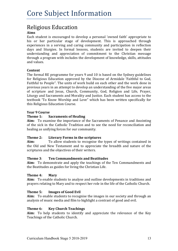### Religious Education

#### **Aims**

Each student is encouraged to develop a personal 'owned faith' appropriate to his or her particular stage of development. This is approached through experiences in a serving and caring community and participation in reflection days and liturgies. In formal lessons, students are invited to deepen their understanding and appreciation of commitment to the Christian message through a program with includes the development of knowledge, skills, attitudes and values.

#### **Content**

The formal RE programme for years 9 and 10 is based on the Sydney guidelines for Religious Education approved by the Diocese of Armidale 'Faithful to God, Faithful to People". The units of work build on each other and the work done in previous years in an attempt to develop an understanding of the five major areas of scripture and Jesus, Church, Community, God, Religion and Life, Prayer, Liturgy and Sacraments and Morality and Justice. Each student has access to the textbook 'To Know Worship and Love" which has been written specifically for this Religious Education Course.

#### **Year 9 Course**

#### **Theme 1: Sacraments of Healing**

**Aim:** To examine the importance of the Sacraments of Penance and Anointing of the sick in the Catholic Tradition and to see the need for reconciliation and healing as unifying forces for our community.

#### **Theme 2:** Literary Forms in the scriptures

**Aim:** To allow students to recognise the types of writings contained in the Old and New Testament and to appreciate the breadth and nature of the scriptures and the objectives of their writers.

#### **Theme 3**: **Ten Commandments and Beatitudes**

**Aim:** To demonstrate and apply the teachings of the Ten Commandments and the Beatitudes as guides for living the Christian Life.

#### **Theme 4: Mary**

**Aim:** To enable students to analyse and outline developments in traditions and prayers relating to Mary and to respect her role in the life of the Catholic Church.

#### **Theme 5: Images of Good Evil**

**Aim:** To enable students to recognise the images in our society and through an analysis of music media and film to highlight a contrast of good and evil.

#### **Theme 6: Key Church Teachings**

**Aim:** To help students to identify and appreciate the relevance of the Key Teachings of the Catholic Church.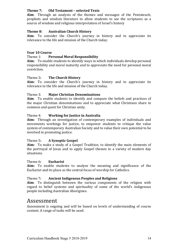#### **Theme 7: Old Testament – selected Texts**

**Aim**: Through an analysis of the themes and messages of the Pentateuch, prophets and wisdom literature to allow students to see the scriptures as a source of wisdom and religious interpretation of Israel's history

#### **Theme 8: Australian Church History**

**Aim**: To consider the Church's journey in history and to appreciate its relevance to the life and mission of the Church today.

#### **Year 10 Course**

#### Theme 1: **Personal Moral Responsibility**

**Aim:** To enable students to identify ways in which individuals develop personal responsibility and moral maturity and to appreciate the need for personal moral conviction.

#### **Theme 2: The Church History**

**Aim:** To consider the Church's journey in history and to appreciate its relevance to the life and mission of the Church today.

#### Theme 3: **Major Christian Denominations**

**Aim**: To enable students to identify and compare the beliefs and practices of the major Christian denominations and to appreciate what Christians share in common and quest for Christian unity.

#### Theme 4: **Working for Justice in Australia**

**Aim:** Through an investigation of contemporary examples of individuals and movements workings for justice, to empower students to critique the value system of contemporary Australian Society and to value their own potential to be involved in promoting justice.

#### Theme 5**: A Synoptic Gospel**

**Aim:** To make a study of a Gospel Tradition, to identify the main elements of the portrayal of Jesus and to apply Gospel themes to a variety of modern day situations.

#### Theme 6**: Eucharist**

**Aim:** To enable students to analyse the meaning and significance of the Eucharist and its place as the central focus of worship for Catholics.

#### Theme 7**: Ancient Indigenous Peoples and Religions**

**Aim**: To distinguish between the various components of the religion with regard to belief systems and spirituality of some of the world's indigenous people including Australian Aborigines.

#### Assessment

Assessment is ongoing and will be based on levels of understanding of course content. A range of tasks will be used.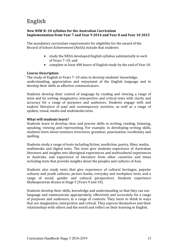# English

#### **New NSW K-10 syllabus for the Australian Curriculum Implementation from Year 7 and Year 9 2014 and Year 8 and Year 10 2015**

The mandatory curriculum requirements for eligibility for the award of the Record of School Achievement (RoSA) include that students:

- study the NESA developed English syllabus substantially in each of Years 7-10, and
- complete at least 400 hours of English study by the end of Year 10.

#### **Course Description**

The study of English in Years 7–10 aims to develop students' knowledge, understanding, appreciation and enjoyment of the English language and to develop their skills as effective communicators.

Students develop their control of language by reading and viewing a range of texts and by writing imaginative, interpretive and critical texts with clarity and accuracy for a range of purposes and audiences. Students engage with and explore literature of past and contemporary societies, as well as a range of spoken, visual, media and multimedia texts.

#### **What will students learn?**

Students learn to develop clear and precise skills in writing, reading, listening, speaking, viewing and representing. For example, in developing writing skills, students learn about sentence structures, grammar, punctuation, vocabulary and spelling.

Students study a range of texts including fiction, nonfiction, poetry, films, media, multimedia and digital texts. The texts give students experience of Australian literature and insights into Aboriginal experiences and multicultural experiences in Australia, and experience of literature from other countries and times including texts that provide insights about the peoples and cultures of Asia.

Students also study texts that give experience of cultural heritages, popular cultures and youth cultures, picture books, everyday and workplace texts, and a range of social, gender and cultural perspectives. Students experience Shakespearean drama in Stage 5 (Years 9 and 10).

Students develop their skills, knowledge and understanding so that they can use language and communicate appropriately, effectively and accurately for a range of purposes and audiences, in a range of contexts. They learn to think in ways that are imaginative, interpretive and critical. They express themselves and their relationships with others and the world and reflect on their learning in English.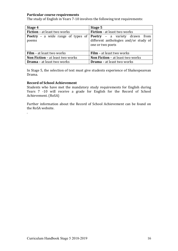#### **Particular course requirements**

The study of English in Years 7-10 involves the following text requirements:

| Stage 4                                                                                | Stage 5                                                   |  |
|----------------------------------------------------------------------------------------|-----------------------------------------------------------|--|
| <b>Fiction</b> – at least two works                                                    | <b>Fiction</b> - at least two works                       |  |
| <b>Poetry</b> – a wide range of types of <b>Poetry</b> – a variety drawn from<br>poems | different anthologies and/or study of<br>one or two poets |  |
| <b>Film</b> – at least two works                                                       | <b>Film</b> – at least two works                          |  |
| <b>Non Fiction - at least two works</b>                                                | <b>Non Fiction - at least two works</b>                   |  |
| <b>Drama</b> – at least two works                                                      | <b>Drama</b> – at least two works                         |  |

In Stage 5, the selection of text must give students experience of Shakespearean Drama.

#### **Record of School Achievement**

.

Students who have met the mandatory study requirements for English during Years  $7 -10$  will receive a grade for English for the Record of School Achievement. (RoSA)

Further information about the Record of School Achievement can be found on the RoSA website.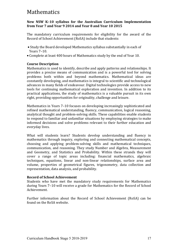### Mathematics

#### **New NSW K-10 syllabus for the Australian Curriculum Implementation from Year 7 and Year 9 2014 and Year 8 and Year 10 2015**

The mandatory curriculum requirements for eligibility for the award of the Record of School Achievement (RoSA) include that students:

- Study the Board developed Mathematics syllabus substantially in each of Years 7–10.
- Complete at least 400 hours of Mathematics study by the end of Year 10.

#### **Course Description**

Mathematics is used to identify, describe and apply patterns and relationships. It provides a precise means of communication and is a powerful tool for solving problems both within and beyond mathematics. Mathematical ideas are constantly developing, and mathematics is integral to scientific and technological advances in many fields of endeavour. Digital technologies provide access to new tools for continuing mathematical exploration and invention. In addition to its practical applications, the study of mathematics is a valuable pursuit in its own right, providing opportunities for originality, challenge and leisure.

Mathematics in Years 7-10 focuses on developing increasingly sophisticated and refined mathematical understanding, fluency, communication, logical reasoning, analytical thought and problem-solving skills. These capabilities enable students to respond to familiar and unfamiliar situations by employing strategies to make informed decisions and solve problems relevant to their further education and everyday lives.

What will students learn? Students develop understanding and fluency in mathematics through inquiry, exploring and connecting mathematical concepts, choosing and applying problem-solving skills and mathematical techniques, communication, and reasoning. They study Number and Algebra, Measurement and Geometry, and Statistics and Probability. Within these strands they will cover a range of topic areas including: financial mathematics, algebraic techniques, equations, linear and non-linear relationships, surface area and volume, properties of geometrical figures, trigonometry, data collection and representation, data analysis, and probability.

#### **Record of School Achievement**

Students who have met the mandatory study requirements for Mathematics during Years 7–10 will receive a grade for Mathematics for the Record of School Achievement. 

Further information about the Record of School Achievement (RoSA) can be found on the RoSA website.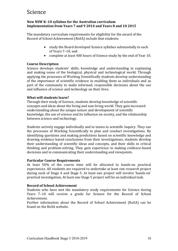### Science

#### **New NSW K-10 syllabus for the Australian curriculum Implementation from Years 7 and 9 2014 and Years 8 and 10 2015**

The mandatory curriculum requirements for eligibility for the award of the Record of School Achievement (RoSA) include that students:

- study the Board developed Science syllabus substantially in each of Years 7-10, and
- complete at least 400 hours of Science study by the end of Year 10.

#### **Course Description**

Science develops students' skills, knowledge and understanding in explaining and making sense of the biological, physical and technological world. Through applying the processes of Working Scientifically students develop understanding of the importance of scientific evidence in enabling them as individuals and as part of the community to make informed, responsible decisions about the use and influence of science and technology on their lives.

#### **What will students learn?**

Through their study of Science, students develop knowledge of scientific concepts and ideas about the living and non-living world. They gain increased understanding about the unique nature and development of scientific knowledge, the use of science and its influence on society, and the relationship between science and technology.

Students actively engage individually and in teams in scientific inquiry. They use the processes of Working Scientifically to plan and conduct investigations. By identifying questions and making predictions based on scientific knowledge and drawing evidence based conclusions from their investigations, students develop their understanding of scientific ideas and concepts, and their skills in critical thinking and problem-solving. They gain experience in making evidence-based decisions and in communicating their understanding and viewpoints.

#### **Particular Course Requirements**

At least 50% of the course time will be allocated to hands-on practical experiences. All students are required to undertake at least one research project during each of Stage 4 and Stage 5. At least one project will involve 'hands-on' practical investigation. At least one Stage 5 project will be an individual task.

#### **Record of School Achievement**

Students who have met the mandatory study requirements for Science during Years 7-10 will receive a grade for Science for the Record of School Achievement.

Further information about the Record of School Achievement (RoSA) can be found on the RoSA website.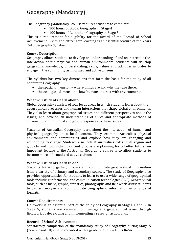# Geography (Mandatory)

The Geography (Mandatory) course requires students to complete:

- 100 hours of Global Geography in Stage 4
- 100 hours of Australian Geography in Stage 5

This is a requirement for eligibility for the award of the Record of School Achievement. Civics and citizenship learning is an essential feature of the Years 7-10 Geography Syllabus.

#### **Course Description**

Geography allows students to develop an understanding of and an interest in the interaction of the physical and human environments. Students will develop geographic knowledge, understanding, skills, values and attitudes in order to engage in the community as informed and active citizens.

The syllabus has two key dimensions that form the basis for the study of all content in Geography:

- $\bullet$  the spatial dimension where things are and why they are there.
- $\bullet$  the ecological dimension how humans interact with environments.

#### **What will students learn about?**

Global Geography consists of four focus areas in which students learn about the geographical processes and human interactions that shape global environments. They also learn about geographical issues and different perspectives about the issues: and develop an understanding of civics and appropriate methods of citizenship for individual and group responses to these issues.

Students of Australian Geography learn about the interaction of human and physical geography in a local context. They examine Australia's physical environments and communities and explore how they are changing and responding to change. Students also look at Australia's roles in its region and globally and how individuals and groups are planning for a better future. An important feature of the Australian Geography course is to allow students to become more informed and active citizens.

#### **What will students learn to do?**

Students learn to gather, process and communicate geographical information from a variety of primary and secondary sources. The study of Geography also provides opportunities for students to learn to use a wide range of geographical tools including information and communication technologies (ICT). Geographical tools, such as maps, graphs, statistics, photographs and fieldwork, assist students to gather, analyse and communicate geographical information in a range of formats.

#### **Course Requirements**

Fieldwork is an essential part of the study of Geography in Stages 4 and 5. In Stage 5, students are required to investigate a geographical issue through fieldwork by developing and implementing a research action plan.

#### **Record of School Achievement**

Satisfactory completion of the mandatory study of Geography during Stage 5 (Years 9 and 10) will be recorded with a grade on the student's RoSA.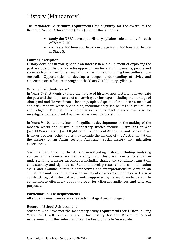# History (Mandatory)

The mandatory curriculum requirements for eligibility for the award of the Record of School Achievement (RoSA) include that students:

- study the NESA developed History syllabus substantially for each of Years 7-10
- complete 100 hours of History in Stage 4 and 100 hours of History in Stage 5.

#### **Course Description**

History develops in young people an interest in and enjoyment of exploring the past. A study of History provides opportunities for examining events, people and societies from ancient, medieval and modern times, including twentieth-century Australia. Opportunities to develop a deeper understanding of civics and citizenship are a feature throughout the Years 7-10 History syllabus.

#### **What will students learn?**

In Years 7–8, students explore the nature of history, how historians investigate the past and the importance of conserving our heritage, including the heritage of Aboriginal and Torres Strait Islander peoples. Aspects of the ancient, medieval and early modern world are studied, including daily life, beliefs and values, law and religion. The nature of colonisation and contact history may also be investigated. One ancient Asian society is a mandatory study.

In Years 9–10, students learn of significant developments in the making of the modern world and Australia. Mandatory studies include Australians at War (World Wars I and II) and Rights and Freedoms of Aboriginal and Torres Strait Islander peoples. Other topics may include the making of the Australian nation, the history of an Asian society, Australian social history and migration experiences.

Students learn to apply the skills of investigating history, including analysing sources and evidence and sequencing major historical events to show an understanding of historical concepts including change and continuity, causation, contestability and significance. Students develop research and communication skills, and examine different perspectives and interpretations to develop an empathetic understanding of a wide variety of viewpoints. Students also learn to construct logical historical arguments supported by relevant evidence and to communicate effectively about the past for different audiences and different purposes.

#### **Particular Course Requirements**

All students must complete a site study in Stage 4 and in Stage 5.

#### **Record of School Achievement**

Students who have met the mandatory study requirements for History during Years 7-10 will receive a grade for History for the Record of School Achievement. Further information can be found on the RoSA website.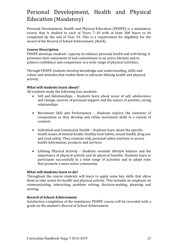# Personal Development, Health and Physical Education (Mandatory)

Personal Development, Health and Physical Education (PDHPE) is a mandatory course that is studied in each of Years 7-10 with at least 300 hours to be completed by the end of Year 10. This is a requirement for eligibility for the award of the Record of School Achievement. (RoSA)

#### **Course Description**

PDHPE develops students' capacity to enhance personal health and well-being. It promotes their enjoyment of and commitment to an active lifestyle and to achieve confidence and competence in a wide range of physical activities.

Through PDHPE students develop knowledge and understanding, skills and values and attitudes that enable them to advocate lifelong health and physical activity.

#### **What will students learn about?**

All students study the following four modules:

- Self and Relationships Students learn about sense of self, adolescence and change, sources of personal support and the nature of positive, caring relationships
- Movement Skill and Performance Students explore the elements of composition as they develop and refine movement skills in a variety of contexts
- Individual and Community Health Students learn about the specific health issues of mental health, healthy food habits, sexual health, drug use and road safety. They examine risk, personal safety and how to access health information, products and services.
- Lifelong Physical Activity Students consider lifestyle balance and the importance of physical activity and its physical benefits. Students learn to participate successfully in a wide range of activities and to adopt roles that promote a more active community.

#### **What will students learn to do?**

Throughout the course students will learn to apply some key skills that allow them to take action for health and physical activity. This includes an emphasis on communicating, interacting, problem solving, decision-making, planning and moving.

#### **Record of School Achievement**

Satisfactory completion of the mandatory PDHPE course will be recorded with a grade on the student's Record of School Achievement.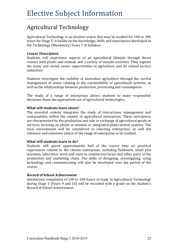# Agricultural Technology

Agricultural Technology is an elective course that may be studied for 100 or 200 hours for Stage 5. It builds on the knowledge, skills and experiences developed in the Technology (Mandatory) Years 7-8 Syllabus.

#### **Course Description**

Students will experience aspects of an agricultural lifestyle through direct contact with plants and animals and a variety of outside activities. They explore the many and varied career opportunities in agriculture and its related service industries. 

Students investigate the viability of Australian agriculture through the careful management of issues relating to the sustainability of agricultural systems, as well as the relationships between production, processing and consumption.

The study of a range of enterprises allows students to make responsible decisions about the appropriate use of agricultural technologies.

#### **What will students learn about?**

The essential content integrates the study of interactions, management and sustainability within the context of agricultural enterprises. These enterprises are characterised by the production and sale or exchange of agricultural goods or services, focusing on plants or animals or integrated plant/animal systems. The local environment will be considered in selecting enterprises, as will the intensive and extensive nature of the range of enterprises to be studied.

#### **What will students learn to do?**

Students will spend approximately half of the course time on practical experiences related to the chosen enterprises, including fieldwork, small plot activities, laboratory work and visits to commercial farms and other parts of the production and marketing chain. The skills of designing, investigating, using technology and communicating will also be developed over the period of the course. 

#### **Record of School Achievement**

Satisfactory completion of 100 or 200 hours of study in Agricultural Technology during Stage 5 (Years 9 and 10) will be recorded with a grade on the student's Record of School Achievement.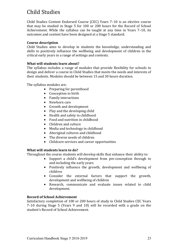# Child Studies

Child Studies Content Endorsed Course (CEC) Years 7-10 is an elective course that may be studied in Stage 5 for 100 or 200 hours for the Record of School Achievement. While the syllabus can be taught at any time in Years  $7-10$ , its outcomes and content have been designed at a Stage 5 standard.

#### **Course description**

Child Studies aims to develop in students the knowledge, understanding and skills to positively influence the wellbeing and development of children in the critical early years in a range of settings and contexts.

#### **What will students learn about?**

The syllabus includes a range of modules that provide flexibility for schools to design and deliver a course in Child Studies that meets the needs and interests of their students. Modules should be between 15 and 30 hours duration.

The syllabus modules are:

- Preparing for parenthood
- Conception to birth
- Family interactions
- Newborn care
- Growth and development
- $\bullet$  Play and the developing child
- Health and safety in childhood
- Food and nutrition in childhood
- Children and culture
- Media and technology in childhood
- Aboriginal cultures and childhood
- The diverse needs of children
- Childcare services and career opportunities

#### **What will students learn to do?**

Throughout the course students will develop skills that enhance their ability to:

- Support a child's development from pre-conception through to and including the early vears
- Positively influence the growth, development and wellbeing of children
- Consider the external factors that support the growth, development and wellbeing of children
- Research, communicate and evaluate issues related to child development.

#### **Record of School Achievement**

Satisfactory completion of 100 or 200 hours of study in Child Studies CEC Years 7-10 during Stage 5 (Years 9 and 10) will be recorded with a grade on the student's Record of School Achievement.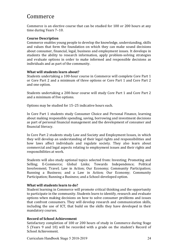### Commerce

Commerce is an elective course that can be studied for 100 or 200 hours at any time during Years 7-10.

#### **Course Description**

Commerce enables young people to develop the knowledge, understanding, skills and values that form the foundation on which they can make sound decisions about consumer, financial, legal, business and employment issues. It develops in students the ability to research information, apply problem-solving strategies and evaluate options in order to make informed and responsible decisions as individuals and as part of the community.

#### **What will students learn about?**

Students undertaking a 100-hour course in Commerce will complete Core Part 1 or Core Part 2 and a minimum of three options or Core Part 1 and Core Part 2 and one option.

Students undertaking a 200-hour course will study Core Part 1 and Core Part 2 and a minimum of five options.

Options may be studied for 15–25 indicative hours each.

In Core Part 1 students study Consumer Choice and Personal Finance, learning about making responsible spending, saving, borrowing and investment decisions as part of personal financial management and the development of consumer and financial literacy.

In Core Part 2 students study Law and Society and Employment Issues, in which they will develop an understanding of their legal rights and responsibilities and how laws affect individuals and regulate society. They also learn about commercial and legal aspects relating to employment issues and their rights and responsibilities at work.

Students will also study optional topics selected from: Investing; Promoting and Selling; E-Commerce; Global Links; Towards Independence; Political Involvement; Travel; Law in Action; Our Economy; Community Participation; Running a Business; and a Law in Action; Our Economy; Community Participation; Running a Business; and a School-developed option.

#### **What will students learn to do?**

Student learning in Commerce will promote critical thinking and the opportunity to participate in the community. Students learn to identify, research and evaluate options when making decisions on how to solve consumer problems and issues that confront consumers. They will develop research and communication skills, including the use of ICT, that build on the skills they have developed in their mandatory courses.

#### **Record of School Achievement**

Satisfactory completion of 100 or 200 hours of study in Commerce during Stage 5 (Years 9 and 10) will be recorded with a grade on the student's Record of School Achievement.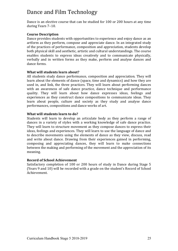# Dance and Film Technology

Dance is an elective course that can be studied for 100 or 200 hours at any time during Years 7–10. 

#### **Course Description**

Dance provides students with opportunities to experience and enjoy dance as an artform as they perform, compose and appreciate dance. In an integrated study of the practices of performance, composition and appreciation, students develop both physical skill and aesthetic, artistic and cultural understandings. The course enables students to express ideas creatively and to communicate physically, verbally and in written forms as they make, perform and analyse dances and dance forms.

#### **What will students learn about?**

All students study dance performance, composition and appreciation. They will learn about the elements of dance (space, time and dynamics) and how they are used in, and link, the three practices. They will learn about performing dances with an awareness of safe dance practice, dance technique and performance quality. They will learn about how dance expresses ideas, feelings and experiences as they construct dance compositions to communicate ideas. They learn about people, culture and society as they study and analyse dance performances, compositions and dance works of art.

#### **What will students learn to do?**

Students will learn to develop an articulate body as they perform a range of dances in a variety of styles with a working knowledge of safe dance practice. They will learn to structure movement as they compose dances to express their ideas, feelings and experiences. They will learn to use the language of dance and to describe movements using the elements of dance as they view, discuss, read and write about dance. Drawing from their experiences gained in performing, composing and appreciating dances, they will learn to make connections between the making and performing of the movement and the appreciation of its meaning. 

#### **Record of School Achievement**

Satisfactory completion of 100 or 200 hours of study in Dance during Stage 5 (Years 9 and 10) will be recorded with a grade on the student's Record of School Achievement.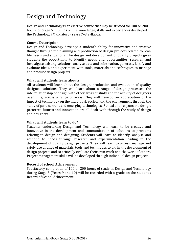## Design and Technology

Design and Technology is an elective course that may be studied for 100 or 200 hours for Stage 5. It builds on the knowledge, skills and experiences developed in the Technology (Mandatory) Years 7-8 Syllabus.

#### **Course Description**

Design and Technology develops a student's ability for innovative and creative thought through the planning and production of design projects related to reallife needs and situations. The design and development of quality projects gives students the opportunity to identify needs and opportunities, research and investigate existing solutions, analyse data and information, generate, justify and evaluate ideas, and experiment with tools, materials and techniques to manage and produce design projects.

#### **What will students learn about?**

All students will learn about the design, production and evaluation of quality designed solutions. They will learn about a range of design processes, the interrelationship of design with other areas of study and the activity of designers over time, across a range of areas. They will develop an appreciation of the impact of technology on the individual, society and the environment through the study of past, current and emerging technologies. Ethical and responsible design, preferred futures and innovation are all dealt with through the study of design and designers.

#### **What will students learn to do?**

Students undertaking Design and Technology will learn to be creative and innovative in the development and communication of solutions to problems relating to design and designing. Students will learn to identify, analyse and respond to needs through research and experimentation leading to the development of quality design projects. They will learn to access, manage and safely use a range of materials, tools and techniques to aid in the development of design projects and to critically evaluate their own work and the work of others. Project management skills will be developed through individual design projects.

#### **Record of School Achievement**

Satisfactory completion of 100 or 200 hours of study in Design and Technology during Stage 5 (Years 9 and 10) will be recorded with a grade on the student's Record of School Achievement.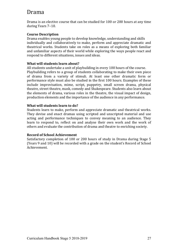### Drama

Drama is an elective course that can be studied for 100 or 200 hours at any time during Years 7–10.

#### **Course Description**

Drama enables young people to develop knowledge, understanding and skills individually and collaboratively to make, perform and appreciate dramatic and theatrical works. Students take on roles as a means of exploring both familiar and unfamiliar aspects of their world while exploring the ways people react and respond to different situations, issues and ideas.

#### **What will students learn about?**

All students undertake a unit of playbuilding in every 100 hours of the course. Playbuilding refers to a group of students collaborating to make their own piece of drama from a variety of stimuli. At least one other dramatic form or performance style must also be studied in the first 100 hours. Examples of these include improvisation, mime, script, puppetry, small screen drama, physical theatre, street theatre, mask, comedy and Shakespeare. Students also learn about the elements of drama, various roles in the theatre, the visual impact of design, production elements and the importance of the audience in any performance.

#### **What will students learn to do?**

Students learn to make, perform and appreciate dramatic and theatrical works. They devise and enact dramas using scripted and unscripted material and use acting and performance techniques to convey meaning to an audience. They learn to respond to, reflect on and analyse their own work and the work of others and evaluate the contribution of drama and theatre to enriching society.

#### **Record of School Achievement**

Satisfactory completion of 100 or 200 hours of study in Drama during Stage 5 (Years 9 and 10) will be recorded with a grade on the student's Record of School Achievement.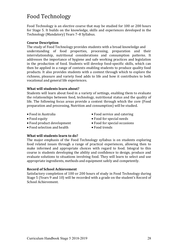# Food Technology

Food Technology is an elective course that may be studied for 100 or 200 hours for Stage 5. It builds on the knowledge, skills and experiences developed in the Technology (Mandatory) Years 7-8 Syllabus.

#### **Course Description**

The study of Food Technology provides students with a broad knowledge and understanding of food properties, processing, preparation and their interrelationship, nutritional considerations and consumption patterns. It addresses the importance of hygiene and safe working practices and legislation in the production of food. Students will develop food-specific skills, which can then be applied in a range of contexts enabling students to produce quality food products. It also provides students with a context through which to explore the richness, pleasure and variety food adds to life and how it contributes to both vocational and general life experiences.

#### **What will students learn about?**

Students will learn about food in a variety of settings, enabling them to evaluate the relationships between food, technology, nutritional status and the quality of life. The following focus areas provide a context through which the core (Food preparation and processing, Nutrition and consumption) will be studied.

- 
- 
- Food product development Food for special occasions
- Food selection and health Food trends
- Food in Australia • Food service and catering
- Food equity extends the Food for special needs
	-
	-

#### **What will students learn to do?**

The major emphasis of the Food Technology syllabus is on students exploring food related issues through a range of practical experiences, allowing then to make informed and appropriate choices with regard to food. Integral to this course is students developing the ability and confidence to design, produce and evaluate solutions to situations involving food. They will learn to select and use appropriate ingredients, methods and equipment safely and competently.

#### **Record of School Achievement**

Satisfactory completion of 100 or 200 hours of study in Food Technology during Stage 5 (Years 9 and 10) will be recorded with a grade on the student's Record of School Achievement.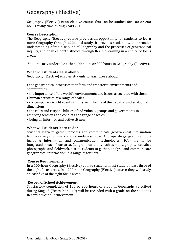# Geography (Elective)

Geography (Elective) is an elective course that can be studied for 100 or 200 hours at any time during Years 7-10.

#### **Course Description**

The Geography (Elective) course provides an opportunity for students to learn more Geography through additional study. It provides students with a broader understanding of the discipline of Geography and the processes of geographical inquiry, and enables depth studies through flexible learning in a choice of focus areas.

Students may undertake either 100 hours or 200 hours in Geography (Elective).

#### **What will students learn about?**

Geography (Elective) enables students to learn more about:

- the geographical processes that form and transform environments and communities
- the importance of the world's environments and issues associated with them
- human activities at a range of scales
- contemporary world events and issues in terms of their spatial and ecological dimensions
- the roles and responsibilities of individuals, groups and governments in resolving tensions and conflicts at a range of scales
- being an informed and active citizen.

#### **What will students learn to do?**

Students learn to gather, process and communicate geographical information from a variety of primary and secondary sources. Appropriate geographical tools including information and communication technologies (ICT) are to be integrated in each focus area. Geographical tools, such as maps, graphs, statistics, photographs and fieldwork, assist students to gather, analyse and communicate geographical information in a range of formats.

#### **Course Requirements**

In a 100-hour Geography (Elective) course students must study at least three of the eight focus areas. In a 200-hour Geography (Elective) course they will study at least five of the eight focus areas.

#### **Record of School Achievement**

Satisfactory completion of 100 or 200 hours of study in Geography (Elective) during Stage 5 (Years 9 and 10) will be recorded with a grade on the student's Record of School Achievement.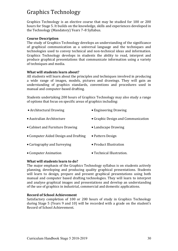# Graphics Technology

Graphics Technology is an elective course that may be studied for 100 or 200 hours for Stage 5. It builds on the knowledge, skills and experiences developed in the Technology (Mandatory) Years 7-8 Syllabus.

#### **Course Description**

The study of Graphics Technology develops an understanding of the significance of graphical communication as a universal language and the techniques and technologies used to convey technical and non-technical ideas and information. Graphics Technology develops in students the ability to read, interpret and produce graphical presentations that communicate information using a variety of techniques and media.

#### **What will students learn about?**

All students will learn about the principles and techniques involved in producing a wide range of images, models, pictures and drawings. They will gain an understanding of graphics standards, conventions and procedures used in manual and computer-based drafting.

Students undertaking 200 hours of Graphics Technology may also study a range of options that focus on specific areas of graphics including:

| • Architectural Drawing              | • Engineering Drawing              |
|--------------------------------------|------------------------------------|
| • Australian Architecture            | • Graphic Design and Communication |
| • Cabinet and Furniture Drawing      | • Landscape Drawing                |
| • Computer Aided Design and Drafting | • Pattern Design                   |
| • Cartography and Surveying          | • Product Illustration             |
| • Computer Animation                 | • Technical Illustration.          |

#### **What will students learn to do?**

The major emphasis of the Graphics Technology syllabus is on students actively planning, developing and producing quality graphical presentations. Students will learn to design, prepare and present graphical presentations using both manual and computer based drafting technologies. They will learn to interpret and analyse graphical images and presentations and develop an understanding of the use of graphics in industrial, commercial and domestic applications.

#### **Record of School Achievement**

Satisfactory completion of 100 or 200 hours of study in Graphics Technology during Stage 5 (Years 9 and 10) will be recorded with a grade on the student's Record of School Achievement.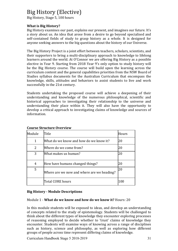### Big History (Elective)

Big History, Stage 5, 100 hours

#### **What is Big History?**

Big History examines our past, explains our present, and imagines our future. It's a story about us. An idea that arose from a desire to go beyond specialised and self-contained fields of study to grasp history as a whole. It is designed for anyone seeking answers to the big questions about the history of our Universe.

The Big History Project is a joint effort between teachers, scholars, scientists, and their supporters to bring a multi-disciplinary approach to knowledge to lifelong learners around the world. At O'Connor we are offering Big History as a possible elective in Year 9. Starting from 2018 Year 9's only option to study history will be the Big History course. The course will build upon the learning across the curriculum content and the general capabilities priorities from the NSW Board of Studies syllabus documents for the Australian Curriculum that encompass the knowledge, skills, attitudes and behaviors to assist students to live and work successfully in the 21st century.

Students undertaking the proposed course will achieve a deepening of their understanding and knowledge of the numerous philosophical, scientific and historical approaches to investigating their relationship to the universe and understanding their place within it. They will also have the opportunity to develop a critical approach to investigating claims of knowledge and sources of information.

| Module | Title                                      | Hours |
|--------|--------------------------------------------|-------|
| 1      | What do we know and how do we know it?     | 20    |
| 2      | Where do we come from?                     | 20    |
| 3      | What makes us human?                       | 20    |
| 4      | How have humans changed things?            | 20    |
| 5      | Where are we now and where are we heading? | 20    |
|        | Total CORE hours                           | 100   |

#### **Course Structure Overview**

#### **Big History - Module Descriptions**

#### Module 1 - **What do we know and how do we know it?** Hours: 20

In this module students will be exposed to ideas, and develop an understanding of concepts related to the study of epistemology. Students will be challenged to think about the different types of knowledge they encounter exploring processes of reasoning employed to decide whether to 'trust' claims of knowledge they encounter. Students will examine ways of knowing across a range of disciplines such as history, science and philosophy, as well as exploring how different groups of people across time represent differing claims of knowledge.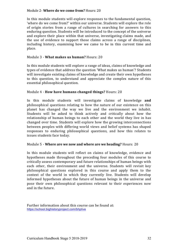#### Module 2- **Where do we come from?** Hours: 20

In this module students will explore responses to the fundamental question, 'where do we come from?' within our universe. Students will explore the role of origin stories from a range of cultures in searching for answers to this enduring question. Students will be introduced to the concept of the universe and explore their place within that universe, investigating claims made, and the use of evidence to support those claims across a range of disciplines, including history, examining how we came to be in this current time and place.

#### Module 3 - **What makes us human?** Hours: 20

In this module students will explore a range of ideas, claims of knowledge and types of evidence that address the question 'What makes us human'? Students will investigate existing claims of knowledge and create their own hypotheses to this question, to understand and appreciate the complex nature of this essential philosophical question.

#### Module 4 - **How have humans changed things?** Hours: 20

In this module students will investigate claims of knowledge and philosophical questions relating to how the nature of our existence on this planet has changed the way we live and the environment we inhabit. Students will be asked to think actively and critically about how the relationship of human beings to each other and the world they live in has changed over time. Students will explore how the growing interconnections between peoples with differing world views and belief systems has shaped responses to enduring philosophical questions, and how this relates to issues students face today.

#### Module 5 - Where are we now and where are we heading? Hours: 20

In this module students will reflect on claims of knowledge, evidence and hypotheses made throughout the preceding four modules of this course to critically assess contemporary and future relationships of human beings with each other, their environment and the universe. Students will revisit key philosophical questions explored in this course and apply them to the context of the world in which they currently live. Students will develop informed hypotheses about the future of human beings in the universe and pose their own philosophical questions relevant to their experiences now and in the future.

Further information about this course can be found at: https://school.bighistoryproject.com/bhplive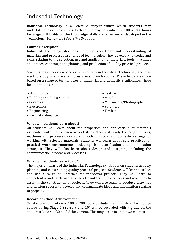## Industrial Technology

Industrial Technology is an elective subject within which students may undertake one or two courses. Each course may be studied for 100 or 200 hours for Stage 5. It builds on the knowledge, skills and experiences developed in the Technology (Mandatory) Years 7-8 Syllabus.

#### **Course Description**

Industrial Technology develops students' knowledge and understanding of materials and processes in a range of technologies. They develop knowledge and skills relating to the selection, use and application of materials, tools, machines and processes through the planning and production of quality practical projects.

Students may undertake one or two courses in Industrial Technology and may elect to study one of eleven focus areas in each course. These focus areas are based on a range of technologies of industrial and domestic significance. These include studies in:

- Automotive Leather
- Building and Construction Metal
- 
- Electronics Polymers
- Engineering Timber
- Farm Maintenance
- 
- 
- Ceramics Multimedia/Photography
	-
	-

#### **What will students learn about?**

All students will learn about the properties and applications of materials associated with their chosen area of study. They will study the range of tools, machines and processes available in both industrial and domestic settings for working with selected materials. Students will learn about safe practices for practical work environments, including risk identification and minimisation strategies. They will also learn about design and designing including the communication of ideas and processes.

#### **What will students learn to do?**

The major emphasis of the Industrial Technology syllabus is on students actively planning and constructing quality practical projects. Students will learn to select and use a range of materials for individual projects. They will learn to competently and safely use a range of hand tools, power tools and machines to assist in the construction of projects. They will also learn to produce drawings and written reports to develop and communicate ideas and information relating to projects.

#### **Record of School Achievement**

Satisfactory completion of 100 or 200 hours of study in an Industrial Technology course during Stage 5 (Years 9 and 10) will be recorded with a grade on the student's Record of School Achievement. This may occur in up to two courses.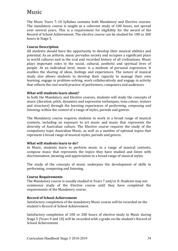### Music

The Music Years 7–10 Syllabus contains both Mandatory and Elective courses. The mandatory course is taught as a coherent study of 100 hours, not spread over several years. This is a requirement for eligibility for the award of the Record of School Achievement. The elective course can be studied for 100 or 200 hours in Stage 5.

#### **Course Description**

All students should have the opportunity to develop their musical abilities and potential. As an artform, music pervades society and occupies a significant place in world cultures and in the oral and recorded history of all civilisations. Music plays important roles in the social, cultural, aesthetic and spiritual lives of people. At an individual level, music is a medium of personal expression. It enables the sharing of ideas, feelings and experiences. The nature of musical study also allows students to develop their capacity to manage their own learning, engage in problem-solving, work collaboratively and engage in activity that reflects the real world practice of performers, composers and audiences.

#### **What will students learn about?**

In both the Mandatory and Elective courses, students will study the concepts of music (duration, pitch, dynamics and expressive techniques, tone colour, texture and structure) through the learning experiences of *performing, composing and listening*, within the *context* of a range of styles, periods and genres.

The Mandatory course requires students to work in a broad range of musical contexts, including an exposure to art music and music that represents the diversity of Australian culture. The Elective course requires the study of the compulsory topic Australian Music, as well as a number of optional topics that represent a broad range of musical styles, periods and genres.

#### **What will students learn to do?**

In Music, students learn to perform music in a range of musical contexts, compose music that represents the topics they have studied and listen with discrimination, meaning and appreciation to a broad range of musical styles.

The study of the concepts of music underpins the development of skills in performing, composing and listening.

#### **Course Requirements**

The Mandatory course is usually studied in Years 7 and/or 8. Students may not commence study of the Elective course until they have completed the requirements of the Mandatory course.

#### **Record of School Achievement**

Satisfactory completion of the mandatory Music course will be recorded on the student's Record of School Achievement.

Satisfactory completion of 100 or 200 hours of elective study in Music during Stage 5 (Years 9 and 10) will be recorded with a grade on the student's Record of School Achievement.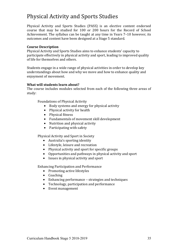## Physical Activity and Sports Studies

Physical Activity and Sports Studies (PASS) is an elective content endorsed course that may be studied for 100 or 200 hours for the Record of School Achievement. The syllabus can be taught at any time in Years 7–10 however, its outcomes and content have been designed at a Stage 5 standard.

#### **Course Description**

Physical Activity and Sports Studies aims to enhance students' capacity to participate effectively in physical activity and sport, leading to improved quality of life for themselves and others.

Students engage in a wide range of physical activities in order to develop key understandings about how and why we move and how to enhance quality and enjoyment of movement.

#### **What will students learn about?**

The course includes modules selected from each of the following three areas of study:

Foundations of Physical Activity

- Body systems and energy for physical activity
- Physical activity for health
- Physical fitness
- Fundamentals of movement skill development
- Nutrition and physical activity
- Participating with safety

Physical Activity and Sport in Society

- Australia's sporting identity
- Lifestyle, leisure and recreation
- Physical activity and sport for specific groups
- Opportunities and pathways in physical activity and sport
- $\bullet$  Issues in physical activity and sport

Enhancing Participation and Performance

- Promoting active lifestyles
- Coaching
- Enhancing performance strategies and techniques
- Technology, participation and performance
- Event management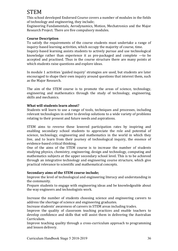# STEM

This school developed Endorsed Course covers a number of modules in the fields of technology and engineering, they include;

Engineering Fundamentals, Aerodynamics, Motion, Mechatronics and the Major Research Project. There are five compulsory modules.

#### **Course Description**

To satisfy the requirements of the course students must undertake a range of inquiry-based learning activities, which occupy the majority of course, time. Inquiry-based learning assists students to actively pursue and use technological knowledge rather than experience it as pre-packaged and complete  $-$ to be accepted and practised. Thus in the course structure there are many points at which students raise questions and explore ideas.

In module 1 activities 'guided inquiry' strategies are used, but students are later encouraged to shape their own inquiry around questions that interest them, such as the Major Research.

The aim of the STEM course is to promote the areas of science, technology, engineering and mathematics through the study of technology, engineering, skills and mechanics.

#### **What will students learn about?**

Students will learn to use a range of tools, techniques and processes, including relevant technologies in order to develop solutions to a wide variety of problems relating to their present and future needs and aspirations.

STEM aims to reverse these lowered participation rates by inspiring and enabling secondary school students to appreciate the role and potential of science, technology, engineering and mathematics in the world in which they live, and to learn from their journey of technological inquiry, the essence of evidence-based critical thinking.

One of the aims of the STEM course is to increase the number of students studying physics, chemistry, engineering, design and technology, computing and mathematics subjects at the upper secondary school level. This is to be achieved through an integrative technology and engineering course structure, which give practical relevance to scientific and mathematical concepts.

#### **Secondary aims of the STEM course include:**

Improve the level of technological and engineering literacy and understanding in the community.

Prepare students to engage with engineering ideas and be knowledgeable about the way engineers and technologists work.

Increase the number of students choosing science and engineering careers to address the shortage of science and engineering graduates.

Increase students' awareness of careers in STEM areas including trades.

Improve the quality of classroom teaching practices and enable teachers to develop confidence and skills that will assist them in delivering the Australian Curriculum.

Improve teaching quality through a cross-curriculum approach to programming and lesson delivery.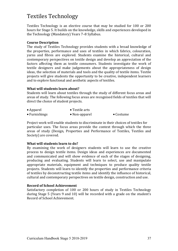## Textiles Technology

Textiles Technology is an elective course that may be studied for 100 or 200 hours for Stage 5. It builds on the knowledge, skills and experiences developed in the Technology (Mandatory) Years 7-8 Syllabus.

#### **Course Description**

The study of Textiles Technology provides students with a broad knowledge of the properties, performance and uses of textiles in which fabrics, colouration, varns and fibres are explored. Students examine the historical, cultural and contemporary perspectives on textile design and develop an appreciation of the factors affecting them as textile consumers. Students investigate the work of textile designers and make judgements about the appropriateness of design ideas, the selection of materials and tools and the quality of textile items. Textile projects will give students the opportunity to be creative, independent learners and to explore functional and aesthetic aspects of textiles.

#### **What will students learn about?**

Students will learn about textiles through the study of different focus areas and areas of study. The following focus areas are recognised fields of textiles that will direct the choice of student projects.

| $\bullet$ Apparel     | $\bullet$ Textile arts |                   |
|-----------------------|------------------------|-------------------|
| $\bullet$ Furnishings | $\bullet$ Non-apparel  | $\bullet$ Costume |

Project work will enable students to discriminate in their choices of textiles for particular uses. The focus areas provide the context through which the three areas of study (Design, Properties and Performance of Textiles, Textiles and Society) are covered.

#### **What will students learn to do?**

By examining the work of designers students will learn to use the creative process to design textile items. Design ideas and experiences are documented and communicated and will show evidence of each of the stages of designing, producing and evaluating. Students will learn to select, use and manipulate appropriate materials, equipment and techniques to produce quality textile projects. Students will learn to identify the properties and performance criteria of textiles by deconstructing textile items and identify the influence of historical, cultural and contemporary perspectives on textile design, construction and use.

#### **Record of School Achievement**

Satisfactory completion of 100 or 200 hours of study in Textiles Technology during Stage 5 (Years 9 and 10) will be recorded with a grade on the student's Record of School Achievement.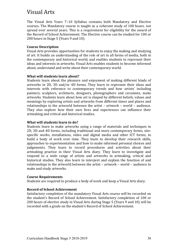### Visual Arts

The Visual Arts Years  $7-10$  Syllabus contains both Mandatory and Elective courses. The Mandatory course is taught as a coherent study of 100 hours, not spread over several vears. This is a requirement for eligibility for the award of the Record of School Achievement. The Elective course can be studied for 100 or 200 hours in Stage 5 (Years 9 and 10).

#### **Course Description**

Visual Arts provides opportunities for students to enjoy the making and studying of art. It builds an understanding of the role of art in all forms of media, both in the contemporary and historical world, and enables students to represent their ideas and interests in artworks. Visual Arts enables students to become informed about, understand and write about their contemporary world.

#### **What will students learn about?**

Students learn about the pleasure and enjoyment of making different kinds of artworks in 2D, 3D and/or 4D forms. They learn to represent their ideas and interests with reference to contemporary trends and how artists' including painters, sculptors, architects, designers, photographers and ceramists, make artworks. Students learn about how art is shaped by different beliefs, values and meanings by exploring artists and artworks from different times and places and relationships in the artworld between the artist  $-$  artwork  $-$  world  $-$  audience. They also explore how their own lives and experiences can influence their artmaking and critical and historical studies.

#### **What will students learn to do?**

Students learn to make artworks using a range of materials and techniques in 2D, 3D and 4D forms, including traditional and more contemporary forms, sitespecific works, installations, video and digital media and other ICT forms, to build a body of work over time. They learn to develop their research skills, approaches to experimentation and how to make informed personal choices and judgements. They learn to record procedures and activities about their artmaking practice in their Visual Arts diary. They learn to investigate and respond to a wide range of artists and artworks in artmaking, critical and historical studies. They also learn to interpret and explain the function of and relationships in the artworld between the artist  $-$  artwork  $-$  world  $-$  audience to make and study artworks.

#### **Course Requirements**

Students are required to produce a body of work and keep a Visual Arts diary.

#### **Record of School Achievement**

Satisfactory completion of the mandatory Visual Arts course will be recorded on the student's Record of School Achievement. Satisfactory completion of 100 or 200 hours of elective study in Visual Arts during Stage 5 (Years 9 and 10) will be recorded with a grade on the student's Record of School Achievement.